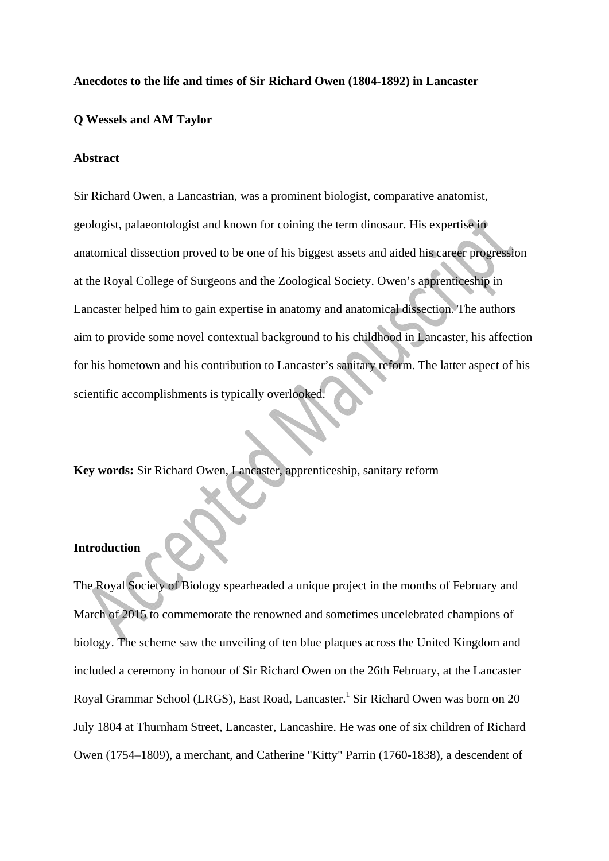#### **Anecdotes to the life and times of Sir Richard Owen (1804-1892) in Lancaster**

## **Q Wessels and AM Taylor**

#### **Abstract**

Sir Richard Owen, a Lancastrian, was a prominent biologist, comparative anatomist, geologist, palaeontologist and known for coining the term dinosaur. His expertise in anatomical dissection proved to be one of his biggest assets and aided his career progression at the Royal College of Surgeons and the Zoological Society. Owen's apprenticeship in Lancaster helped him to gain expertise in anatomy and anatomical dissection. The authors aim to provide some novel contextual background to his childhood in Lancaster, his affection for his hometown and his contribution to Lancaster's sanitary reform. The latter aspect of his scientific accomplishments is typically overlooked.

**Key words:** Sir Richard Owen, Lancaster, apprenticeship, sanitary reform

### **Introduction**

The Royal Society of Biology spearheaded a unique project in the months of February and March of 2015 to commemorate the renowned and sometimes uncelebrated champions of biology. The scheme saw the unveiling of ten blue plaques across the United Kingdom and included a ceremony in honour of Sir Richard Owen on the 26th February, at the Lancaster Royal Grammar School (LRGS), East Road, Lancaster.<sup>1</sup> Sir Richard Owen was born on 20 July 1804 at Thurnham Street, Lancaster, Lancashire. He was one of six children of Richard Owen (1754–1809), a merchant, and Catherine "Kitty" Parrin (1760-1838), a descendent of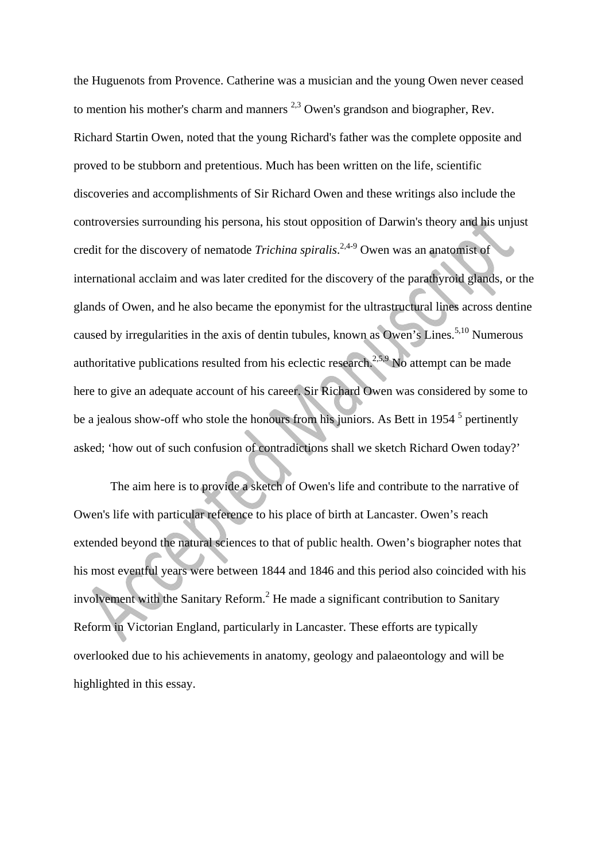the Huguenots from Provence. Catherine was a musician and the young Owen never ceased to mention his mother's charm and manners  $^{2,3}$  Owen's grandson and biographer, Rev. Richard Startin Owen, noted that the young Richard's father was the complete opposite and proved to be stubborn and pretentious. Much has been written on the life, scientific discoveries and accomplishments of Sir Richard Owen and these writings also include the controversies surrounding his persona, his stout opposition of Darwin's theory and his unjust credit for the discovery of nematode *Trichina spiralis*.<sup>2,4-9</sup> Owen was an anatomist of international acclaim and was later credited for the discovery of the parathyroid glands, or the glands of Owen, and he also became the eponymist for the ultrastructural lines across dentine caused by irregularities in the axis of dentin tubules, known as Owen's Lines.<sup>5,10</sup> Numerous authoritative publications resulted from his eclectic research.<sup>2,5,9</sup> No attempt can be made here to give an adequate account of his career. Sir Richard Owen was considered by some to be a jealous show-off who stole the honours from his juniors. As Bett in 1954  $<sup>5</sup>$  pertinently</sup> asked; 'how out of such confusion of contradictions shall we sketch Richard Owen today?'

 The aim here is to provide a sketch of Owen's life and contribute to the narrative of Owen's life with particular reference to his place of birth at Lancaster. Owen's reach extended beyond the natural sciences to that of public health. Owen's biographer notes that his most eventful years were between 1844 and 1846 and this period also coincided with his involvement with the Sanitary Reform.<sup>2</sup> He made a significant contribution to Sanitary Reform in Victorian England, particularly in Lancaster. These efforts are typically overlooked due to his achievements in anatomy, geology and palaeontology and will be highlighted in this essay.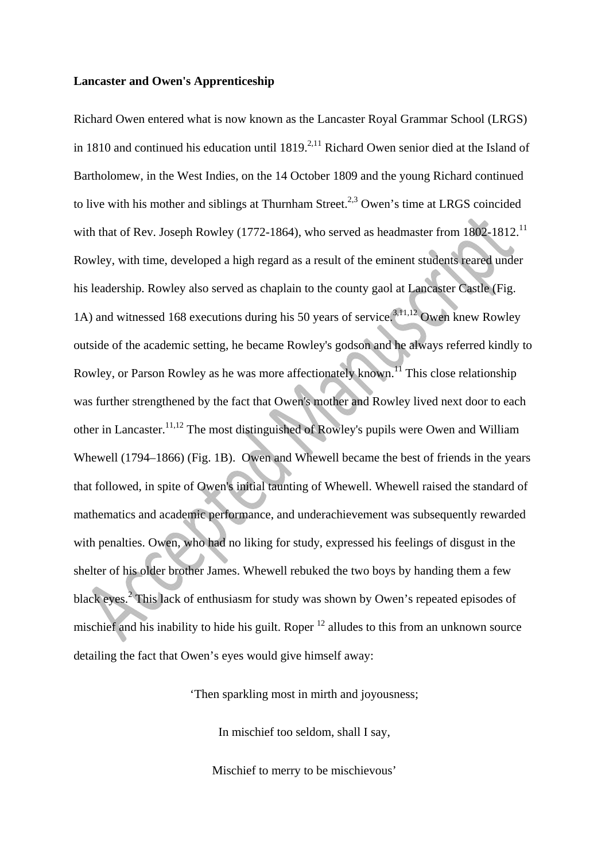#### **Lancaster and Owen's Apprenticeship**

Richard Owen entered what is now known as the Lancaster Royal Grammar School (LRGS) in 1810 and continued his education until  $1819<sup>2,11</sup>$  Richard Owen senior died at the Island of Bartholomew, in the West Indies, on the 14 October 1809 and the young Richard continued to live with his mother and siblings at Thurnham Street.<sup>2,3</sup> Owen's time at LRGS coincided with that of Rev. Joseph Rowley (1772-1864), who served as headmaster from  $1802-1812$ <sup>11</sup> Rowley, with time, developed a high regard as a result of the eminent students reared under his leadership. Rowley also served as chaplain to the county gaol at Lancaster Castle (Fig. 1A) and witnessed 168 executions during his 50 years of service.3,11,12 Owen knew Rowley outside of the academic setting, he became Rowley's godson and he always referred kindly to Rowley, or Parson Rowley as he was more affectionately known.<sup>11</sup> This close relationship was further strengthened by the fact that Owen's mother and Rowley lived next door to each other in Lancaster.11,12 The most distinguished of Rowley's pupils were Owen and William Whewell (1794–1866) (Fig. 1B). Owen and Whewell became the best of friends in the years that followed, in spite of Owen's initial taunting of Whewell. Whewell raised the standard of mathematics and academic performance, and underachievement was subsequently rewarded with penalties. Owen, who had no liking for study, expressed his feelings of disgust in the shelter of his older brother James. Whewell rebuked the two boys by handing them a few black eyes.<sup>2</sup> This lack of enthusiasm for study was shown by Owen's repeated episodes of mischief and his inability to hide his guilt. Roper  $12$  alludes to this from an unknown source detailing the fact that Owen's eyes would give himself away:

'Then sparkling most in mirth and joyousness;

In mischief too seldom, shall I say,

Mischief to merry to be mischievous'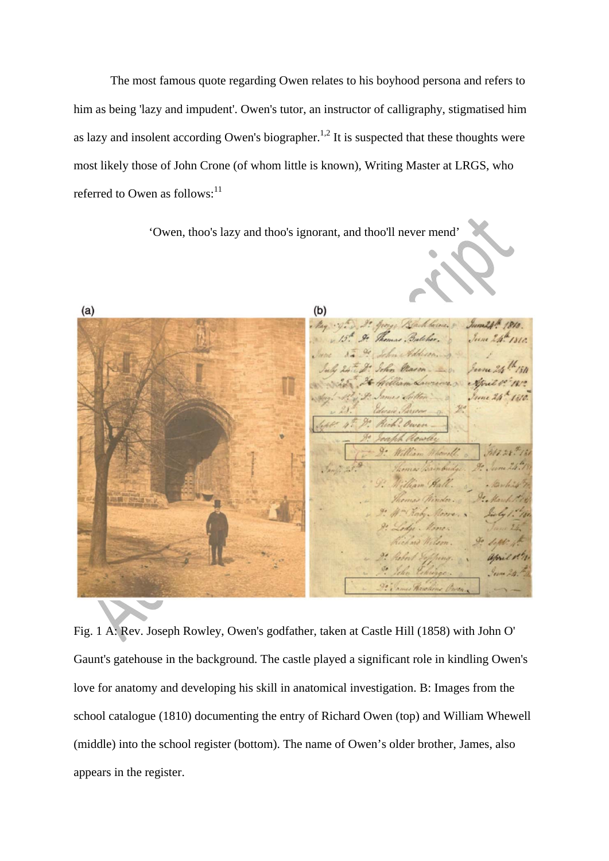The most famous quote regarding Owen relates to his boyhood persona and refers to him as being 'lazy and impudent'. Owen's tutor, an instructor of calligraphy, stigmatised him as lazy and insolent according Owen's biographer.<sup>1,2</sup> It is suspected that these thoughts were most likely those of John Crone (of whom little is known), Writing Master at LRGS, who referred to Owen as follows: $^{11}$ 

'Owen, thoo's lazy and thoo's ignorant, and thoo'll never mend'

 $(b)$  $(a)$ George Blackbourse. 8 June2pth 1810 . Kay 15. 9. Thomas Butcher. Уит 2/1. 1810. 8 . Oc John Add John Mason C. Molling Lawrence . Gril !! Pel 28 th 18  $\mathcal{F}$ 9. James Hawkins

Fig. 1 A: Rev. Joseph Rowley, Owen's godfather, taken at Castle Hill (1858) with John O' Gaunt's gatehouse in the background. The castle played a significant role in kindling Owen's love for anatomy and developing his skill in anatomical investigation. B: Images from the school catalogue (1810) documenting the entry of Richard Owen (top) and William Whewell (middle) into the school register (bottom). The name of Owen's older brother, James, also appears in the register.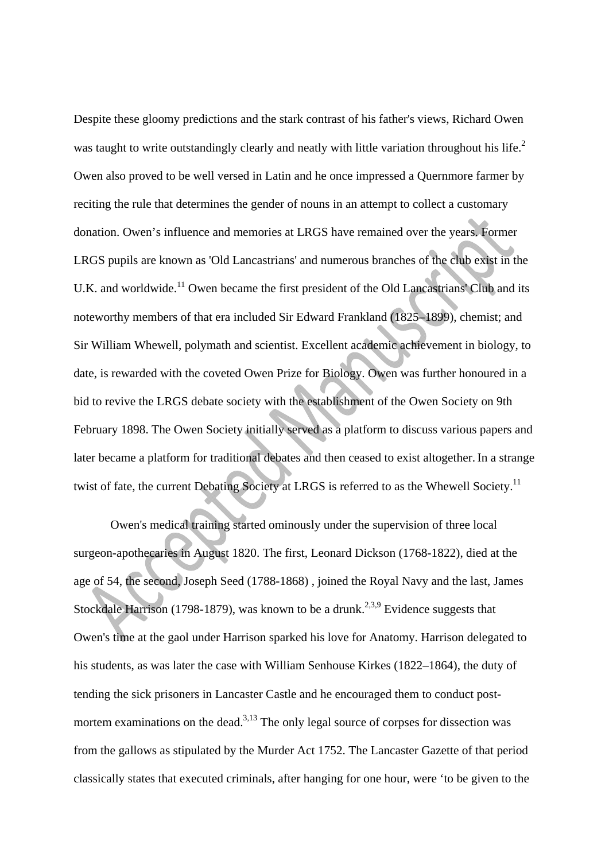Despite these gloomy predictions and the stark contrast of his father's views, Richard Owen was taught to write outstandingly clearly and neatly with little variation throughout his life.<sup>2</sup> Owen also proved to be well versed in Latin and he once impressed a Quernmore farmer by reciting the rule that determines the gender of nouns in an attempt to collect a customary donation. Owen's influence and memories at LRGS have remained over the years. Former LRGS pupils are known as 'Old Lancastrians' and numerous branches of the club exist in the U.K. and worldwide.<sup>11</sup> Owen became the first president of the Old Lancastrians' Club and its noteworthy members of that era included Sir Edward Frankland (1825–1899), chemist; and Sir William Whewell, polymath and scientist. Excellent academic achievement in biology, to date, is rewarded with the coveted Owen Prize for Biology. Owen was further honoured in a bid to revive the LRGS debate society with the establishment of the Owen Society on 9th February 1898. The Owen Society initially served as a platform to discuss various papers and later became a platform for traditional debates and then ceased to exist altogether.In a strange twist of fate, the current Debating Society at LRGS is referred to as the Whewell Society.<sup>11</sup>

 Owen's medical training started ominously under the supervision of three local surgeon-apothecaries in August 1820. The first, Leonard Dickson (1768-1822), died at the age of 54, the second, Joseph Seed (1788-1868) , joined the Royal Navy and the last, James Stockdale Harrison (1798-1879), was known to be a drunk.<sup>2,3,9</sup> Evidence suggests that Owen's time at the gaol under Harrison sparked his love for Anatomy. Harrison delegated to his students, as was later the case with William Senhouse Kirkes (1822–1864), the duty of tending the sick prisoners in Lancaster Castle and he encouraged them to conduct postmortem examinations on the dead.<sup>3,13</sup> The only legal source of corpses for dissection was from the gallows as stipulated by the Murder Act 1752. The Lancaster Gazette of that period classically states that executed criminals, after hanging for one hour, were 'to be given to the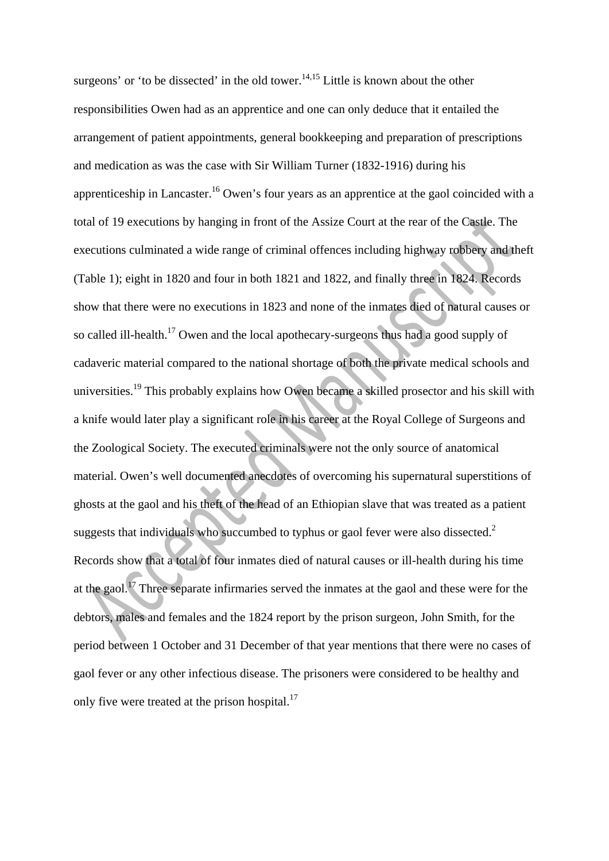surgeons' or 'to be dissected' in the old tower.<sup>14,15</sup> Little is known about the other responsibilities Owen had as an apprentice and one can only deduce that it entailed the arrangement of patient appointments, general bookkeeping and preparation of prescriptions and medication as was the case with Sir William Turner (1832-1916) during his apprenticeship in Lancaster.<sup>16</sup> Owen's four years as an apprentice at the gaol coincided with a total of 19 executions by hanging in front of the Assize Court at the rear of the Castle. The executions culminated a wide range of criminal offences including highway robbery and theft (Table 1); eight in 1820 and four in both 1821 and 1822, and finally three in 1824. Records show that there were no executions in 1823 and none of the inmates died of natural causes or so called ill-health.<sup>17</sup> Owen and the local apothecary-surgeons thus had a good supply of cadaveric material compared to the national shortage of both the private medical schools and universities.<sup>19</sup> This probably explains how Owen became a skilled prosector and his skill with a knife would later play a significant role in his career at the Royal College of Surgeons and the Zoological Society. The executed criminals were not the only source of anatomical material. Owen's well documented anecdotes of overcoming his supernatural superstitions of ghosts at the gaol and his theft of the head of an Ethiopian slave that was treated as a patient suggests that individuals who succumbed to typhus or gaol fever were also dissected.<sup>2</sup> Records show that a total of four inmates died of natural causes or ill-health during his time at the gaol.17 Three separate infirmaries served the inmates at the gaol and these were for the debtors, males and females and the 1824 report by the prison surgeon, John Smith, for the period between 1 October and 31 December of that year mentions that there were no cases of gaol fever or any other infectious disease. The prisoners were considered to be healthy and only five were treated at the prison hospital.<sup>17</sup>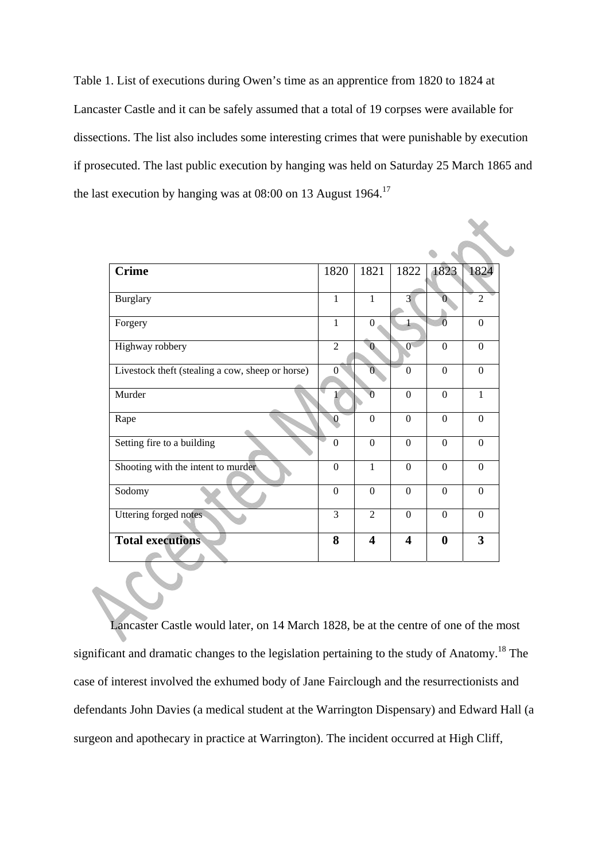Table 1. List of executions during Owen's time as an apprentice from 1820 to 1824 at Lancaster Castle and it can be safely assumed that a total of 19 corpses were available for dissections. The list also includes some interesting crimes that were punishable by execution if prosecuted. The last public execution by hanging was held on Saturday 25 March 1865 and the last execution by hanging was at  $08:00$  on 13 August 1964.<sup>17</sup>

| <b>Crime</b>                                     | 1820             | 1821                    | 1822                    | 1823             | 1824           |
|--------------------------------------------------|------------------|-------------------------|-------------------------|------------------|----------------|
| <b>Burglary</b>                                  | $\mathbf{1}$     | $\mathbf{1}$            | $\overline{3}$          | $\overline{0}$   | $\overline{2}$ |
| Forgery                                          | $\mathbf{1}$     | $\Omega$                |                         | $\overline{0}$   | $\Omega$       |
| Highway robbery                                  | $\overline{2}$   | $\overline{0}$          | $\mathbf{0}$            | $\boldsymbol{0}$ | $\Omega$       |
| Livestock theft (stealing a cow, sheep or horse) | $\Omega$         | $\overline{0}$          | $\Omega$                | $\Omega$         | $\Omega$       |
| Murder                                           |                  | $\Omega$                | $\Omega$                | $\Omega$         | $\mathbf{1}$   |
| Rape                                             | $\bf{0}$         | $\theta$                | $\Omega$                | $\Omega$         | $\Omega$       |
| Setting fire to a building                       | $\mathbf{0}$     | $\overline{0}$          | $\Omega$                | $\Omega$         | $\Omega$       |
| Shooting with the intent to murder               | $\Omega$         | $\mathbf{1}$            | $\Omega$                | $\Omega$         | $\Omega$       |
| Sodomy                                           | $\boldsymbol{0}$ | $\overline{0}$          | $\overline{0}$          | $\theta$         | $\Omega$       |
| Uttering forged notes                            | 3                | $\overline{2}$          | $\Omega$                | $\Omega$         | $\Omega$       |
| <b>Total executions</b>                          | 8                | $\overline{\mathbf{4}}$ | $\overline{\mathbf{4}}$ | $\bf{0}$         | 3              |

Lancaster Castle would later, on 14 March 1828, be at the centre of one of the most significant and dramatic changes to the legislation pertaining to the study of Anatomy.<sup>18</sup> The case of interest involved the exhumed body of Jane Fairclough and the resurrectionists and defendants John Davies (a medical student at the Warrington Dispensary) and Edward Hall (a surgeon and apothecary in practice at Warrington). The incident occurred at High Cliff,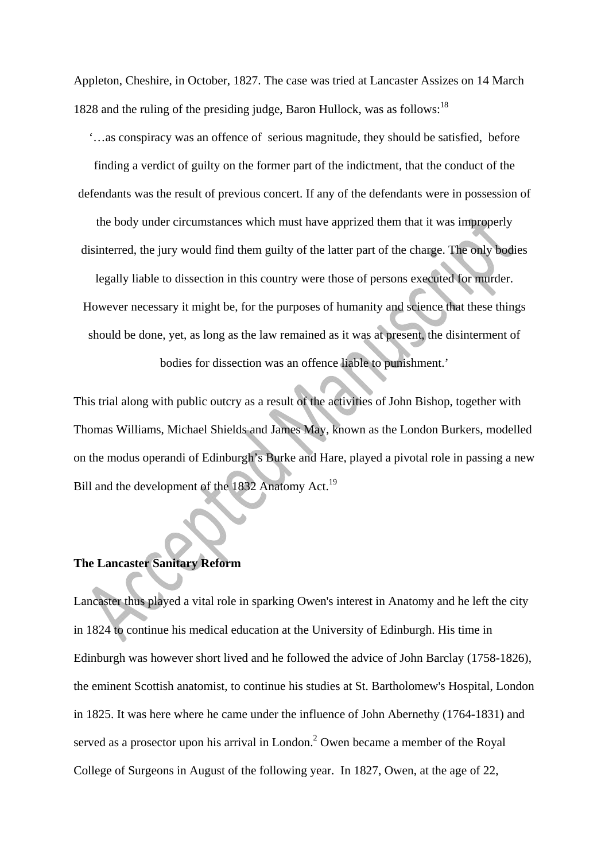Appleton, Cheshire, in October, 1827. The case was tried at Lancaster Assizes on 14 March 1828 and the ruling of the presiding judge, Baron Hullock, was as follows:<sup>18</sup>

'…as conspiracy was an offence of serious magnitude, they should be satisfied, before finding a verdict of guilty on the former part of the indictment, that the conduct of the defendants was the result of previous concert. If any of the defendants were in possession of

the body under circumstances which must have apprized them that it was improperly disinterred, the jury would find them guilty of the latter part of the charge. The only bodies

legally liable to dissection in this country were those of persons executed for murder. However necessary it might be, for the purposes of humanity and science that these things should be done, yet, as long as the law remained as it was at present, the disinterment of bodies for dissection was an offence liable to punishment.'

This trial along with public outcry as a result of the activities of John Bishop, together with Thomas Williams, Michael Shields and James May, known as the London Burkers, modelled on the modus operandi of Edinburgh's Burke and Hare, played a pivotal role in passing a new Bill and the development of the 1832 Anatomy Act.<sup>19</sup>

# **The Lancaster Sanitary Reform**

Lancaster thus played a vital role in sparking Owen's interest in Anatomy and he left the city in 1824 to continue his medical education at the University of Edinburgh. His time in Edinburgh was however short lived and he followed the advice of John Barclay (1758-1826), the eminent Scottish anatomist, to continue his studies at St. Bartholomew's Hospital, London in 1825. It was here where he came under the influence of John Abernethy (1764-1831) and served as a prosector upon his arrival in London. $^2$  Owen became a member of the Royal College of Surgeons in August of the following year. In 1827, Owen, at the age of 22,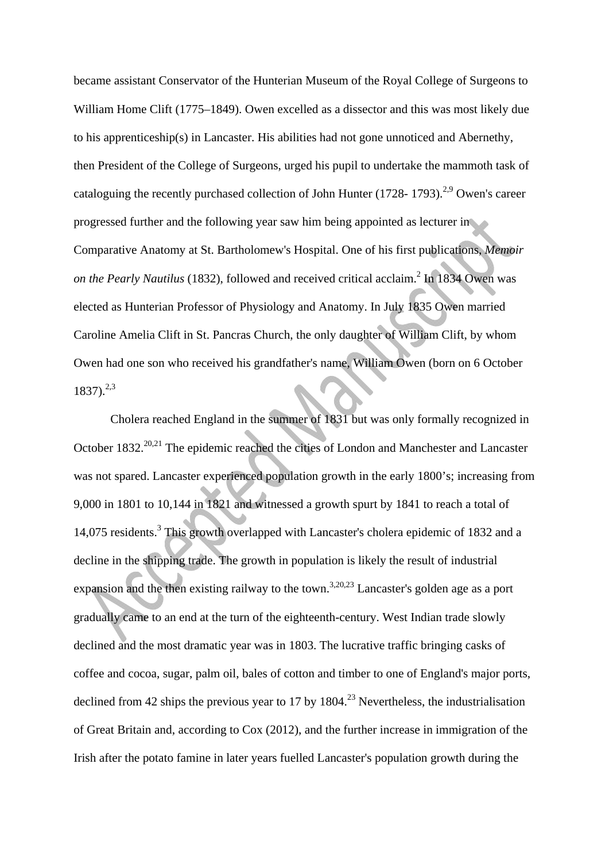became assistant Conservator of the Hunterian Museum of the Royal College of Surgeons to William Home Clift (1775–1849). Owen excelled as a dissector and this was most likely due to his apprenticeship(s) in Lancaster. His abilities had not gone unnoticed and Abernethy, then President of the College of Surgeons, urged his pupil to undertake the mammoth task of cataloguing the recently purchased collection of John Hunter (1728- 1793).<sup>2,9</sup> Owen's career progressed further and the following year saw him being appointed as lecturer in Comparative Anatomy at St. Bartholomew's Hospital. One of his first publications, *Memoir*  on the Pearly Nautilus (1832), followed and received critical acclaim.<sup>2</sup> In 1834 Owen was elected as Hunterian Professor of Physiology and Anatomy. In July 1835 Owen married Caroline Amelia Clift in St. Pancras Church, the only daughter of William Clift, by whom Owen had one son who received his grandfather's name, William Owen (born on 6 October  $1837)$ <sup>2,3</sup>

 Cholera reached England in the summer of 1831 but was only formally recognized in October 1832.<sup>20,21</sup> The epidemic reached the cities of London and Manchester and Lancaster was not spared. Lancaster experienced population growth in the early 1800's; increasing from 9,000 in 1801 to 10,144 in 1821 and witnessed a growth spurt by 1841 to reach a total of 14,075 residents.<sup>3</sup> This growth overlapped with Lancaster's cholera epidemic of 1832 and a decline in the shipping trade. The growth in population is likely the result of industrial expansion and the then existing railway to the town.<sup>3,20,23</sup> Lancaster's golden age as a port gradually came to an end at the turn of the eighteenth-century. West Indian trade slowly declined and the most dramatic year was in 1803. The lucrative traffic bringing casks of coffee and cocoa, sugar, palm oil, bales of cotton and timber to one of England's major ports, declined from 42 ships the previous year to 17 by 1804.<sup>23</sup> Nevertheless, the industrialisation of Great Britain and, according to Cox (2012), and the further increase in immigration of the Irish after the potato famine in later years fuelled Lancaster's population growth during the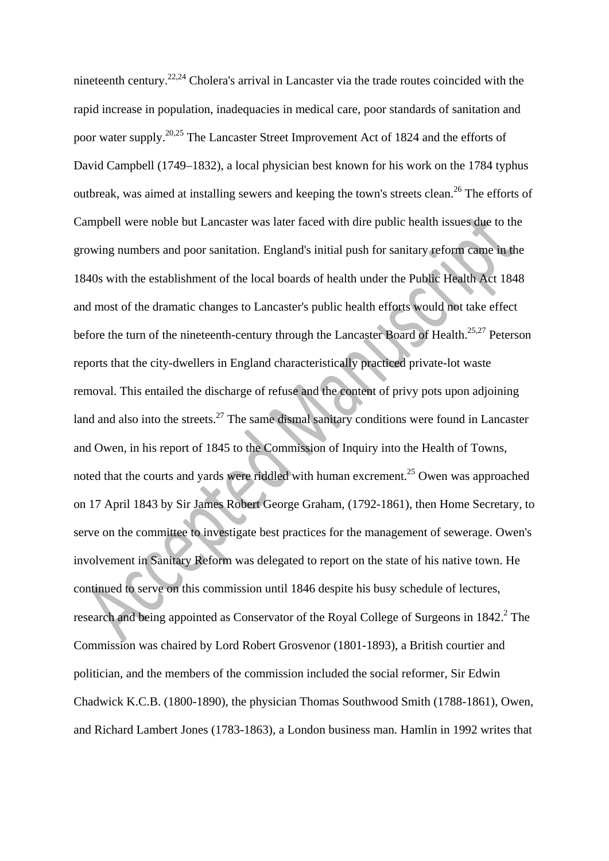nineteenth century.22,24 Cholera's arrival in Lancaster via the trade routes coincided with the rapid increase in population, inadequacies in medical care, poor standards of sanitation and poor water supply.20,25 The Lancaster Street Improvement Act of 1824 and the efforts of David Campbell (1749–1832), a local physician best known for his work on the 1784 typhus outbreak, was aimed at installing sewers and keeping the town's streets clean.<sup>26</sup> The efforts of Campbell were noble but Lancaster was later faced with dire public health issues due to the growing numbers and poor sanitation. England's initial push for sanitary reform came in the 1840s with the establishment of the local boards of health under the Public Health Act 1848 and most of the dramatic changes to Lancaster's public health efforts would not take effect before the turn of the nineteenth-century through the Lancaster Board of Health.<sup>25,27</sup> Peterson reports that the city-dwellers in England characteristically practiced private-lot waste removal. This entailed the discharge of refuse and the content of privy pots upon adjoining land and also into the streets. $27$  The same dismal sanitary conditions were found in Lancaster and Owen, in his report of 1845 to the Commission of Inquiry into the Health of Towns, noted that the courts and yards were riddled with human excrement.<sup>25</sup> Owen was approached on 17 April 1843 by Sir James Robert George Graham, (1792-1861), then Home Secretary, to serve on the committee to investigate best practices for the management of sewerage. Owen's involvement in Sanitary Reform was delegated to report on the state of his native town. He continued to serve on this commission until 1846 despite his busy schedule of lectures, research and being appointed as Conservator of the Royal College of Surgeons in  $1842$ .<sup>2</sup> The Commission was chaired by Lord Robert Grosvenor (1801-1893), a British courtier and politician, and the members of the commission included the social reformer, Sir Edwin Chadwick K.C.B. (1800-1890), the physician Thomas Southwood Smith (1788-1861), Owen, and Richard Lambert Jones (1783-1863), a London business man. Hamlin in 1992 writes that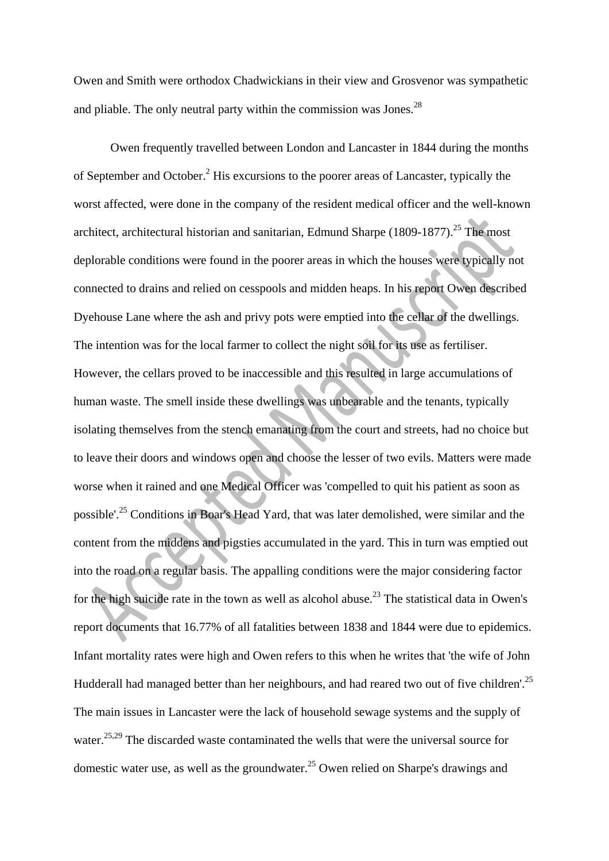Owen and Smith were orthodox Chadwickians in their view and Grosvenor was sympathetic and pliable. The only neutral party within the commission was Jones.<sup>28</sup>

Owen frequently travelled between London and Lancaster in 1844 during the months of September and October.<sup>2</sup> His excursions to the poorer areas of Lancaster, typically the worst affected, were done in the company of the resident medical officer and the well-known architect, architectural historian and sanitarian, Edmund Sharpe  $(1809-1877)$ <sup>25</sup>. The most deplorable conditions were found in the poorer areas in which the houses were typically not connected to drains and relied on cesspools and midden heaps. In his report Owen described Dyehouse Lane where the ash and privy pots were emptied into the cellar of the dwellings. The intention was for the local farmer to collect the night soil for its use as fertiliser. However, the cellars proved to be inaccessible and this resulted in large accumulations of human waste. The smell inside these dwellings was unbearable and the tenants, typically isolating themselves from the stench emanating from the court and streets, had no choice but to leave their doors and windows open and choose the lesser of two evils. Matters were made worse when it rained and one Medical Officer was 'compelled to quit his patient as soon as possible'.25 Conditions in Boar's Head Yard, that was later demolished, were similar and the content from the middens and pigsties accumulated in the yard. This in turn was emptied out into the road on a regular basis. The appalling conditions were the major considering factor for the high suicide rate in the town as well as alcohol abuse.<sup>23</sup> The statistical data in Owen's report documents that 16.77% of all fatalities between 1838 and 1844 were due to epidemics. Infant mortality rates were high and Owen refers to this when he writes that 'the wife of John Hudderall had managed better than her neighbours, and had reared two out of five children'.<sup>25</sup> The main issues in Lancaster were the lack of household sewage systems and the supply of water.<sup>25,29</sup> The discarded waste contaminated the wells that were the universal source for domestic water use, as well as the groundwater.<sup>25</sup> Owen relied on Sharpe's drawings and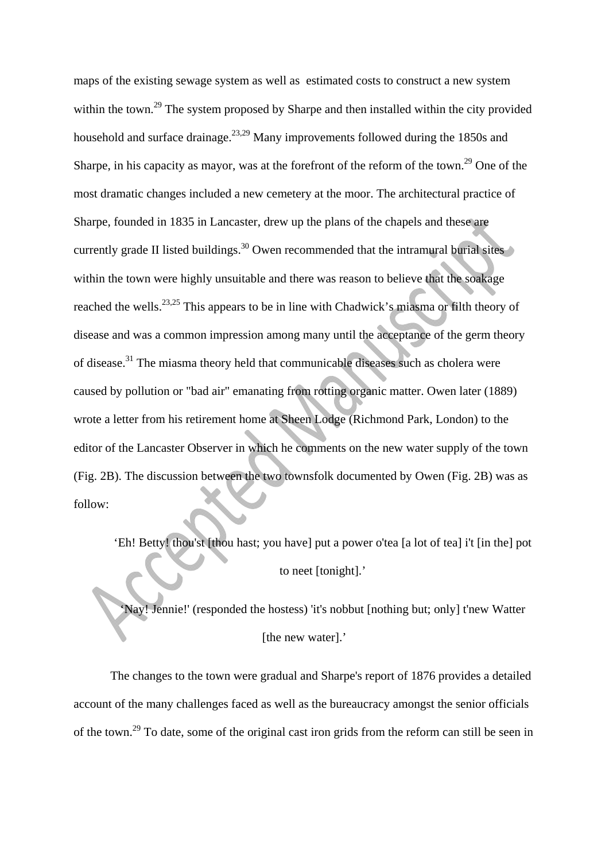maps of the existing sewage system as well as estimated costs to construct a new system within the town.<sup>29</sup> The system proposed by Sharpe and then installed within the city provided household and surface drainage.<sup>23,29</sup> Many improvements followed during the 1850s and Sharpe, in his capacity as mayor, was at the forefront of the reform of the town.<sup>29</sup> One of the most dramatic changes included a new cemetery at the moor. The architectural practice of Sharpe, founded in 1835 in Lancaster, drew up the plans of the chapels and these are currently grade II listed buildings.<sup>30</sup> Owen recommended that the intramural burial sites within the town were highly unsuitable and there was reason to believe that the soakage reached the wells.<sup>23,25</sup> This appears to be in line with Chadwick's miasma or filth theory of disease and was a common impression among many until the acceptance of the germ theory of disease.31 The miasma theory held that communicable diseases such as cholera were caused by pollution or "bad air" emanating from rotting organic matter. Owen later (1889) wrote a letter from his retirement home at Sheen Lodge (Richmond Park, London) to the editor of the Lancaster Observer in which he comments on the new water supply of the town (Fig. 2B). The discussion between the two townsfolk documented by Owen (Fig. 2B) was as follow:

'Eh! Betty! thou'st [thou hast; you have] put a power o'tea [a lot of tea] i't [in the] pot to neet [tonight].'

'Nay! Jennie!' (responded the hostess) 'it's nobbut [nothing but; only] t'new Watter [the new water].'

The changes to the town were gradual and Sharpe's report of 1876 provides a detailed account of the many challenges faced as well as the bureaucracy amongst the senior officials of the town.29 To date, some of the original cast iron grids from the reform can still be seen in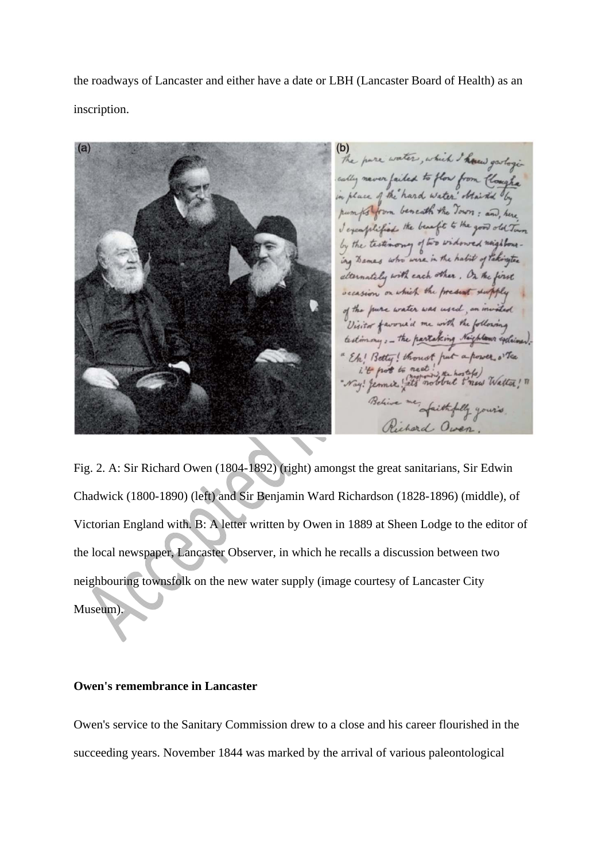the roadways of Lancaster and either have a date or LBH (Lancaster Board of Health) as an inscription.

The pare water, which I haven gerlogic cally never failed to flow from Cloughe in place of the hard water " Staired by pumps from beneath the Town : and here I exemplified the benefit to the good old Town by the testimony of two widowed neighbouring Bames who were in the habit of Pakingten atternately with each other, On the first occasion on which the present supply of the pure water was used, an invited Visitor favoried me with the following testimony: - the partaking Naighlows exclaimed. Eh! Betty! thought put a power o'Tea i't pot to neet! "Nay! Jemnie ! ats nobbut t'new Watter! " faithfully yours,

Fig. 2. A: Sir Richard Owen (1804-1892) (right) amongst the great sanitarians, Sir Edwin Chadwick (1800-1890) (left) and Sir Benjamin Ward Richardson (1828-1896) (middle), of Victorian England with. B: A letter written by Owen in 1889 at Sheen Lodge to the editor of the local newspaper, Lancaster Observer, in which he recalls a discussion between two neighbouring townsfolk on the new water supply (image courtesy of Lancaster City Museum).

#### **Owen's remembrance in Lancaster**

Owen's service to the Sanitary Commission drew to a close and his career flourished in the succeeding years. November 1844 was marked by the arrival of various paleontological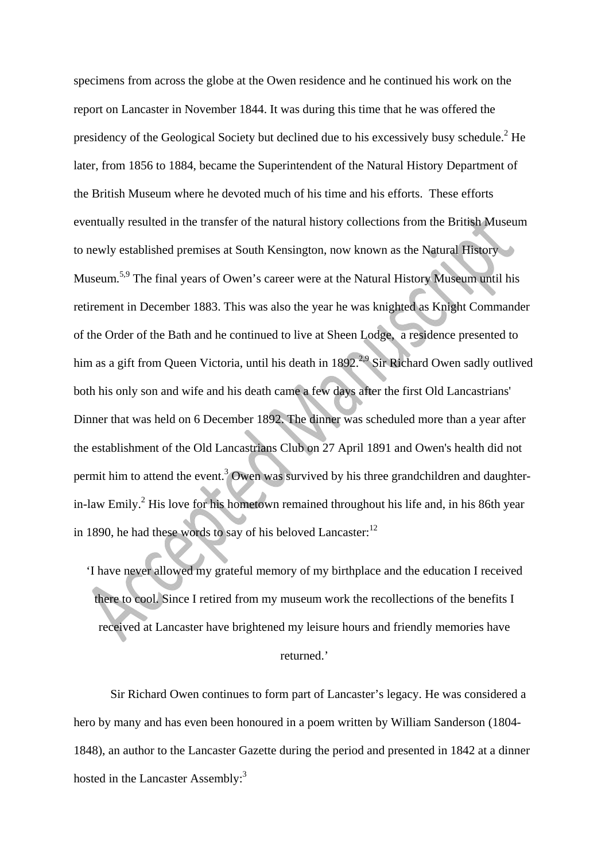specimens from across the globe at the Owen residence and he continued his work on the report on Lancaster in November 1844. It was during this time that he was offered the presidency of the Geological Society but declined due to his excessively busy schedule.<sup>2</sup> He later, from 1856 to 1884, became the Superintendent of the Natural History Department of the British Museum where he devoted much of his time and his efforts. These efforts eventually resulted in the transfer of the natural history collections from the British Museum to newly established premises at South Kensington, now known as the Natural History Museum.5,9 The final years of Owen's career were at the Natural History Museum until his retirement in December 1883. This was also the year he was knighted as Knight Commander of the Order of the Bath and he continued to live at Sheen Lodge, a residence presented to him as a gift from Queen Victoria, until his death in  $1892<sup>2,9</sup>$  Sir Richard Owen sadly outlived both his only son and wife and his death came a few days after the first Old Lancastrians' Dinner that was held on 6 December 1892. The dinner was scheduled more than a year after the establishment of the Old Lancastrians Club on 27 April 1891 and Owen's health did not permit him to attend the event.<sup>3</sup> Owen was survived by his three grandchildren and daughterin-law Emily.<sup>2</sup> His love for his hometown remained throughout his life and, in his 86th year in 1890, he had these words to say of his beloved  $Lancaster$ <sup>12</sup>

'I have never allowed my grateful memory of my birthplace and the education I received there to cool. Since I retired from my museum work the recollections of the benefits I received at Lancaster have brightened my leisure hours and friendly memories have

# returned.'

Sir Richard Owen continues to form part of Lancaster's legacy. He was considered a hero by many and has even been honoured in a poem written by William Sanderson (1804- 1848), an author to the Lancaster Gazette during the period and presented in 1842 at a dinner hosted in the Lancaster Assembly:<sup>3</sup>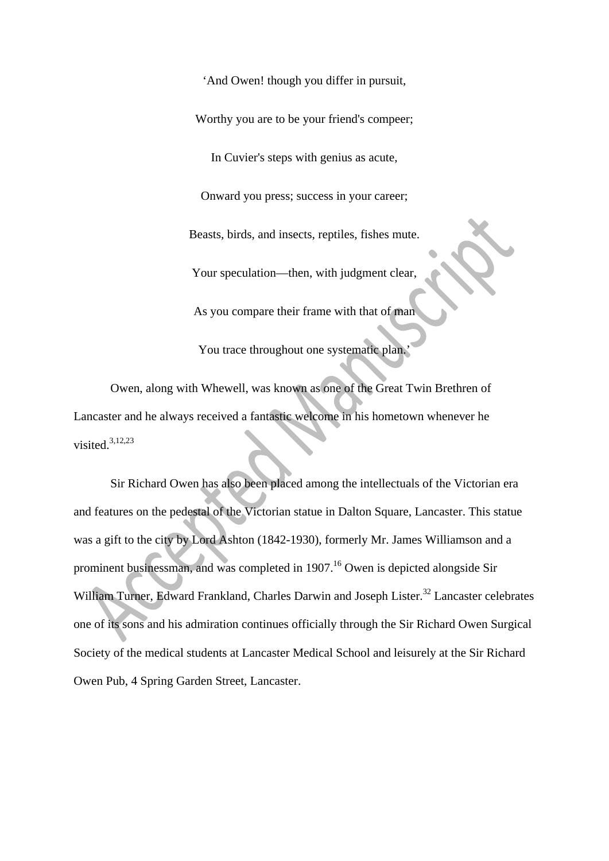'And Owen! though you differ in pursuit,

Worthy you are to be your friend's compeer;

In Cuvier's steps with genius as acute,

Onward you press; success in your career;

Beasts, birds, and insects, reptiles, fishes mute.

Your speculation—then, with judgment clear,

As you compare their frame with that of man

You trace throughout one systematic plan.

Owen, along with Whewell, was known as one of the Great Twin Brethren of Lancaster and he always received a fantastic welcome in his hometown whenever he visited. $3,12,23$ 

Sir Richard Owen has also been placed among the intellectuals of the Victorian era and features on the pedestal of the Victorian statue in Dalton Square, Lancaster. This statue was a gift to the city by Lord Ashton (1842-1930), formerly Mr. James Williamson and a prominent businessman, and was completed in 1907.16 Owen is depicted alongside Sir William Turner, Edward Frankland, Charles Darwin and Joseph Lister.<sup>32</sup> Lancaster celebrates one of its sons and his admiration continues officially through the Sir Richard Owen Surgical Society of the medical students at Lancaster Medical School and leisurely at the Sir Richard Owen Pub, 4 Spring Garden Street, Lancaster.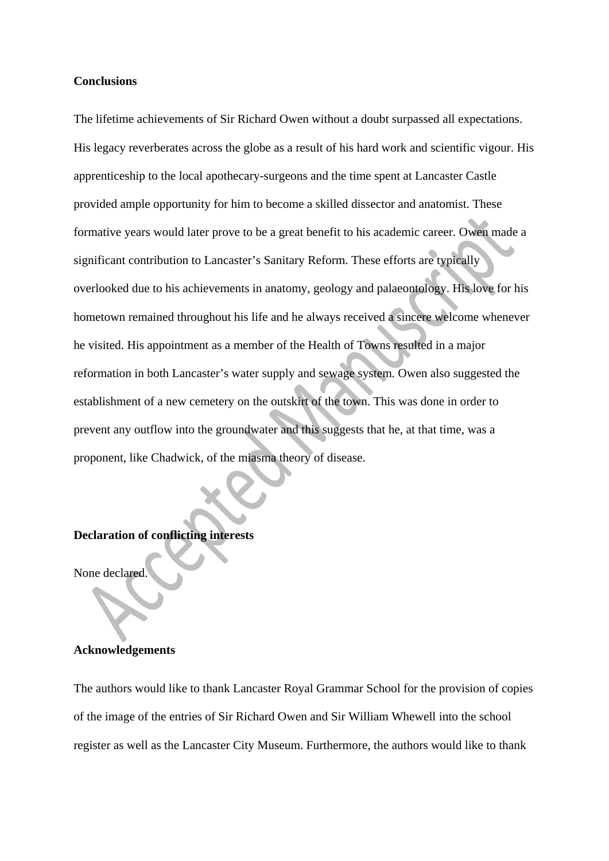#### **Conclusions**

The lifetime achievements of Sir Richard Owen without a doubt surpassed all expectations. His legacy reverberates across the globe as a result of his hard work and scientific vigour. His apprenticeship to the local apothecary-surgeons and the time spent at Lancaster Castle provided ample opportunity for him to become a skilled dissector and anatomist. These formative years would later prove to be a great benefit to his academic career. Owen made a significant contribution to Lancaster's Sanitary Reform. These efforts are typically overlooked due to his achievements in anatomy, geology and palaeontology. His love for his hometown remained throughout his life and he always received a sincere welcome whenever he visited. His appointment as a member of the Health of Towns resulted in a major reformation in both Lancaster's water supply and sewage system. Owen also suggested the establishment of a new cemetery on the outskirt of the town. This was done in order to prevent any outflow into the groundwater and this suggests that he, at that time, was a proponent, like Chadwick, of the miasma theory of disease.

# **Declaration of conflicting interests**

None declared

### **Acknowledgements**

The authors would like to thank Lancaster Royal Grammar School for the provision of copies of the image of the entries of Sir Richard Owen and Sir William Whewell into the school register as well as the Lancaster City Museum. Furthermore, the authors would like to thank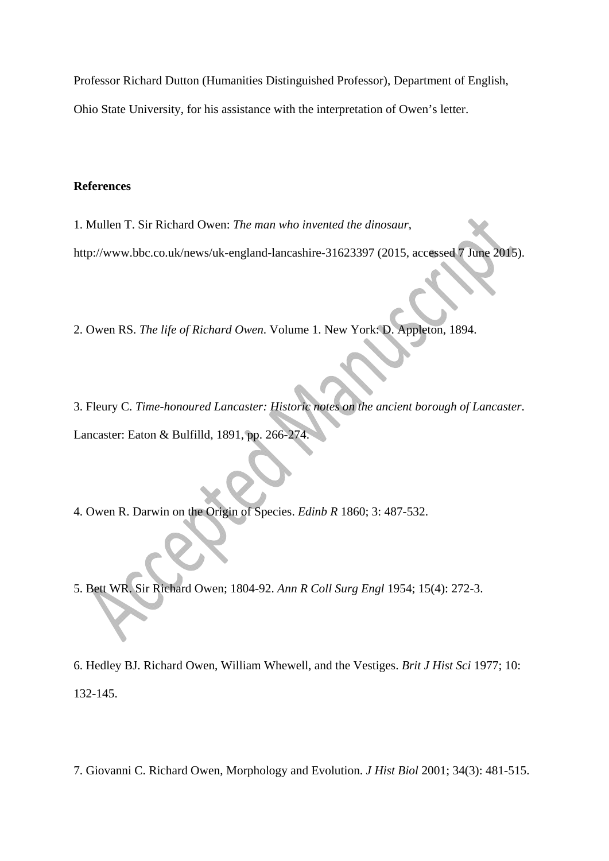Professor Richard Dutton (Humanities Distinguished Professor), Department of English, Ohio State University, for his assistance with the interpretation of Owen's letter.

## **References**

1. Mullen T. Sir Richard Owen: *The man who invented the dinosaur*, http://www.bbc.co.uk/news/uk-england-lancashire-31623397 (2015, accessed 7 June 2015).

2. Owen RS. *The life of Richard Owen*. Volume 1. New York: D. Appleton, 1894.

3. Fleury C. *Time-honoured Lancaster: Historic notes on the ancient borough of Lancaster*. Lancaster: Eaton & Bulfilld, 1891, pp. 266-274.

4. Owen R. Darwin on the Origin of Species. *Edinb R* 1860; 3: 487-532.

5. Bett WR. Sir Richard Owen; 1804-92. *Ann R Coll Surg Engl* 1954; 15(4): 272-3.

6. Hedley BJ. Richard Owen, William Whewell, and the Vestiges. *Brit J Hist Sci* 1977; 10: 132-145.

7. Giovanni C. Richard Owen, Morphology and Evolution. *J Hist Biol* 2001; 34(3): 481-515.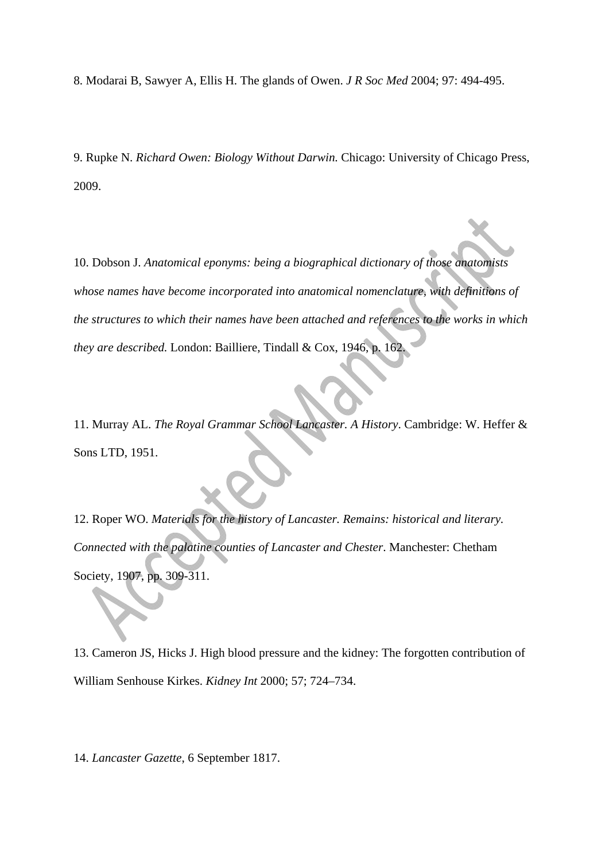8. Modarai B, Sawyer A, Ellis H. The glands of Owen. *J R Soc Med* 2004; 97: 494-495.

9. Rupke N. *Richard Owen: Biology Without Darwin.* Chicago: University of Chicago Press, 2009.

10. Dobson J. *Anatomical eponyms: being a biographical dictionary of those anatomists whose names have become incorporated into anatomical nomenclature, with definitions of the structures to which their names have been attached and references to the works in which they are described.* London: Bailliere, Tindall & Cox, 1946, p. 162.

11. Murray AL. *The Royal Grammar School Lancaster. A History*. Cambridge: W. Heffer & Sons LTD, 1951.

12. Roper WO. *Materials for the history of Lancaster. Remains: historical and literary. Connected with the palatine counties of Lancaster and Chester*. Manchester: Chetham Society, 1907, pp. 309-311.

13. Cameron JS, Hicks J. High blood pressure and the kidney: The forgotten contribution of William Senhouse Kirkes. *Kidney Int* 2000; 57; 724–734.

14. *Lancaster Gazette*, 6 September 1817.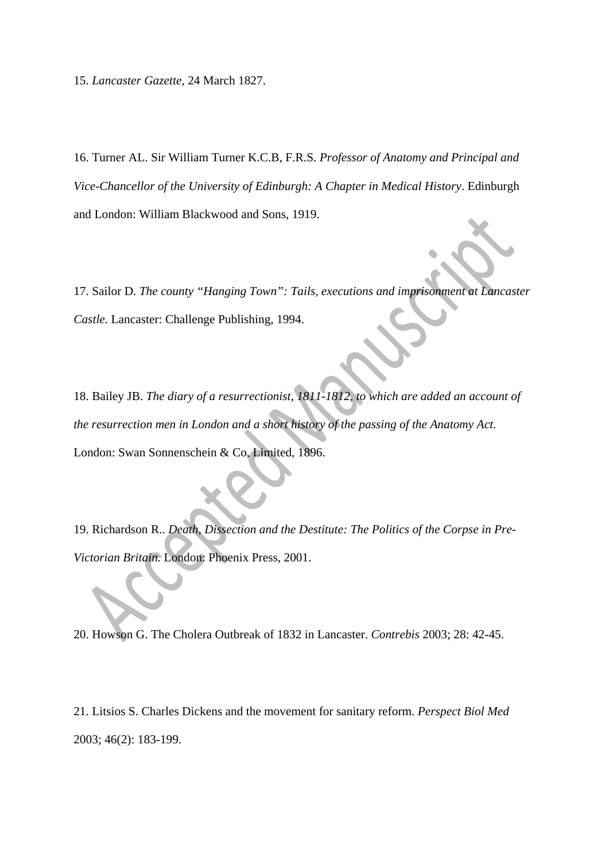15. *Lancaster Gazette*, 24 March 1827.

16. Turner AL. Sir William Turner K.C.B, F.R.S. *Professor of Anatomy and Principal and Vice-Chancellor of the University of Edinburgh: A Chapter in Medical History*. Edinburgh and London: William Blackwood and Sons, 1919.

17. Sailor D. *The county "Hanging Town": Tails, executions and imprisonment at Lancaster Castle.* Lancaster: Challenge Publishing, 1994.

18. Bailey JB. *The diary of a resurrectionist, 1811-1812, to which are added an account of the resurrection men in London and a short history of the passing of the Anatomy Act*. London: Swan Sonnenschein & Co, Limited, 1896.

19. Richardson R.. *Death, Dissection and the Destitute: The Politics of the Corpse in Pre-Victorian Britain.* London: Phoenix Press, 2001.

20. Howson G. The Cholera Outbreak of 1832 in Lancaster. *Contrebis* 2003; 28: 42-45.

21. Litsios S. Charles Dickens and the movement for sanitary reform. *Perspect Biol Med* 2003; 46(2): 183-199.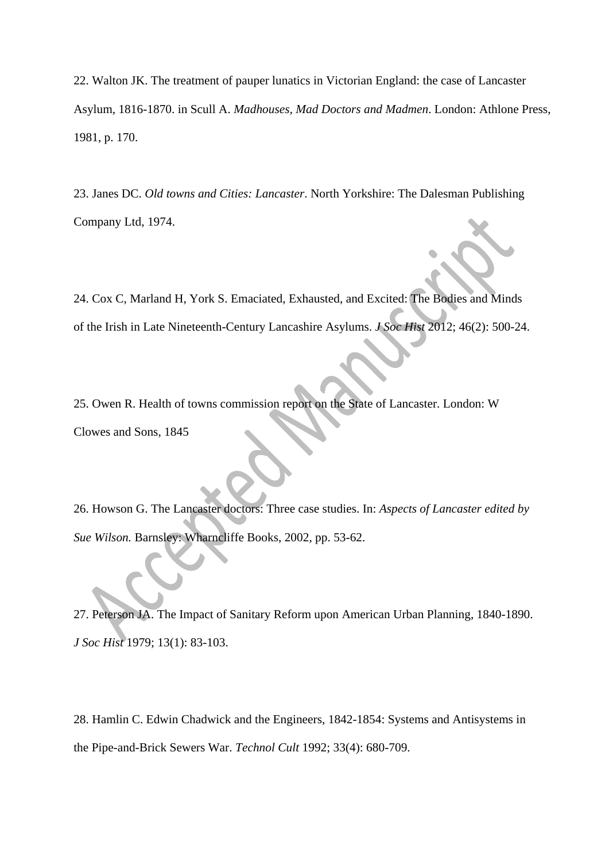22. Walton JK. The treatment of pauper lunatics in Victorian England: the case of Lancaster Asylum, 1816-1870. in Scull A. *Madhouses, Mad Doctors and Madmen*. London: Athlone Press, 1981, p. 170.

23. Janes DC. *Old towns and Cities: Lancaster*. North Yorkshire: The Dalesman Publishing Company Ltd, 1974.

24. Cox C, Marland H, York S. Emaciated, Exhausted, and Excited: The Bodies and Minds of the Irish in Late Nineteenth-Century Lancashire Asylums. *J Soc Hist* 2012; 46(2): 500-24.

25. Owen R. Health of towns commission report on the State of Lancaster. London: W Clowes and Sons, 1845

26. Howson G. The Lancaster doctors: Three case studies. In: *Aspects of Lancaster edited by Sue Wilson.* Barnsley: Wharncliffe Books, 2002, pp. 53-62.

27. Peterson JA. The Impact of Sanitary Reform upon American Urban Planning, 1840-1890. *J Soc Hist* 1979; 13(1): 83-103.

28. Hamlin C. Edwin Chadwick and the Engineers, 1842-1854: Systems and Antisystems in the Pipe-and-Brick Sewers War. *Technol Cult* 1992; 33(4): 680-709.